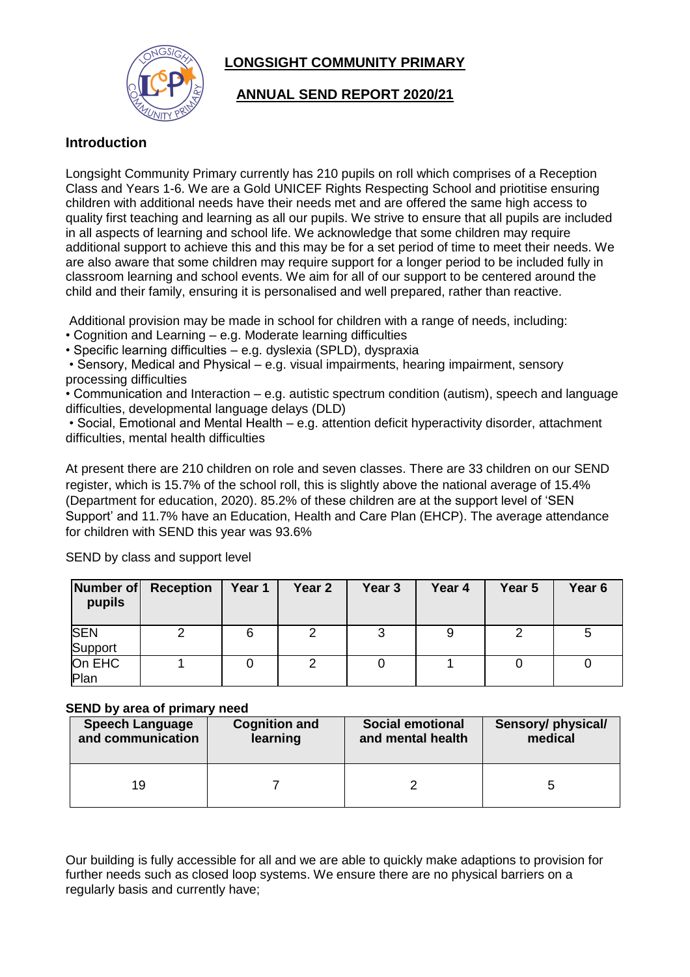



# **ANNUAL SEND REPORT 2020/21**

## **Introduction**

Longsight Community Primary currently has 210 pupils on roll which comprises of a Reception Class and Years 1-6. We are a Gold UNICEF Rights Respecting School and priotitise ensuring children with additional needs have their needs met and are offered the same high access to quality first teaching and learning as all our pupils. We strive to ensure that all pupils are included in all aspects of learning and school life. We acknowledge that some children may require additional support to achieve this and this may be for a set period of time to meet their needs. We are also aware that some children may require support for a longer period to be included fully in classroom learning and school events. We aim for all of our support to be centered around the child and their family, ensuring it is personalised and well prepared, rather than reactive.

Additional provision may be made in school for children with a range of needs, including:

- Cognition and Learning e.g. Moderate learning difficulties
- Specific learning difficulties e.g. dyslexia (SPLD), dyspraxia

• Sensory, Medical and Physical – e.g. visual impairments, hearing impairment, sensory processing difficulties

• Communication and Interaction – e.g. autistic spectrum condition (autism), speech and language difficulties, developmental language delays (DLD)

• Social, Emotional and Mental Health – e.g. attention deficit hyperactivity disorder, attachment difficulties, mental health difficulties

At present there are 210 children on role and seven classes. There are 33 children on our SEND register, which is 15.7% of the school roll, this is slightly above the national average of 15.4% (Department for education, 2020). 85.2% of these children are at the support level of 'SEN Support' and 11.7% have an Education, Health and Care Plan (EHCP). The average attendance for children with SEND this year was 93.6%

| Number of<br>pupils   | <b>Reception</b> | Year 1 | Year 2 | Year 3 | Year 4 | Year 5 | Year <sub>6</sub> |
|-----------------------|------------------|--------|--------|--------|--------|--------|-------------------|
| <b>SEN</b><br>Support |                  | 6      |        | 3      |        |        | 5                 |
| On EHC<br>Plan        |                  |        |        |        |        |        |                   |

SEND by class and support level

### **SEND by area of primary need**

| <b>Speech Language</b> | <b>Cognition and</b> | <b>Social emotional</b> | Sensory/ physical/ |
|------------------------|----------------------|-------------------------|--------------------|
| and communication      | learning             | and mental health       | medical            |
| 19                     |                      |                         |                    |

Our building is fully accessible for all and we are able to quickly make adaptions to provision for further needs such as closed loop systems. We ensure there are no physical barriers on a regularly basis and currently have;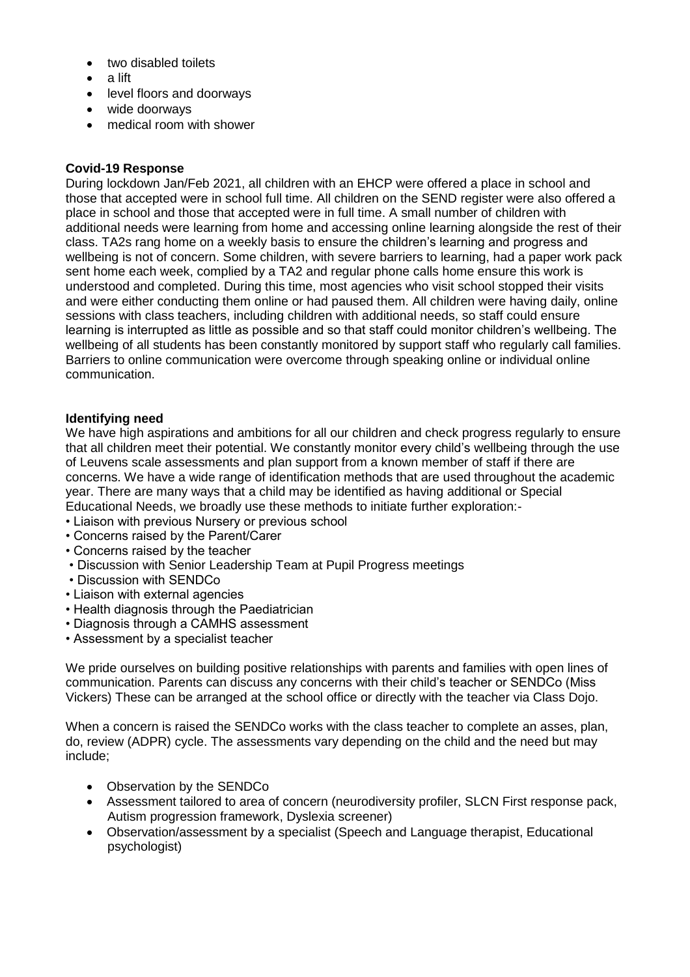- two disabled toilets
- a lift
- level floors and doorways
- wide doorways
- medical room with shower

### **Covid-19 Response**

During lockdown Jan/Feb 2021, all children with an EHCP were offered a place in school and those that accepted were in school full time. All children on the SEND register were also offered a place in school and those that accepted were in full time. A small number of children with additional needs were learning from home and accessing online learning alongside the rest of their class. TA2s rang home on a weekly basis to ensure the children's learning and progress and wellbeing is not of concern. Some children, with severe barriers to learning, had a paper work pack sent home each week, complied by a TA2 and regular phone calls home ensure this work is understood and completed. During this time, most agencies who visit school stopped their visits and were either conducting them online or had paused them. All children were having daily, online sessions with class teachers, including children with additional needs, so staff could ensure learning is interrupted as little as possible and so that staff could monitor children's wellbeing. The wellbeing of all students has been constantly monitored by support staff who regularly call families. Barriers to online communication were overcome through speaking online or individual online communication.

### **Identifying need**

We have high aspirations and ambitions for all our children and check progress regularly to ensure that all children meet their potential. We constantly monitor every child's wellbeing through the use of Leuvens scale assessments and plan support from a known member of staff if there are concerns. We have a wide range of identification methods that are used throughout the academic year. There are many ways that a child may be identified as having additional or Special Educational Needs, we broadly use these methods to initiate further exploration:-

- Liaison with previous Nursery or previous school
- Concerns raised by the Parent/Carer
- Concerns raised by the teacher
- Discussion with Senior Leadership Team at Pupil Progress meetings
- Discussion with SENDCo
- Liaison with external agencies
- Health diagnosis through the Paediatrician
- Diagnosis through a CAMHS assessment
- Assessment by a specialist teacher

We pride ourselves on building positive relationships with parents and families with open lines of communication. Parents can discuss any concerns with their child's teacher or SENDCo (Miss Vickers) These can be arranged at the school office or directly with the teacher via Class Dojo.

When a concern is raised the SENDCo works with the class teacher to complete an asses, plan, do, review (ADPR) cycle. The assessments vary depending on the child and the need but may include;

- Observation by the SENDCo
- Assessment tailored to area of concern (neurodiversity profiler, SLCN First response pack, Autism progression framework, Dyslexia screener)
- Observation/assessment by a specialist (Speech and Language therapist, Educational psychologist)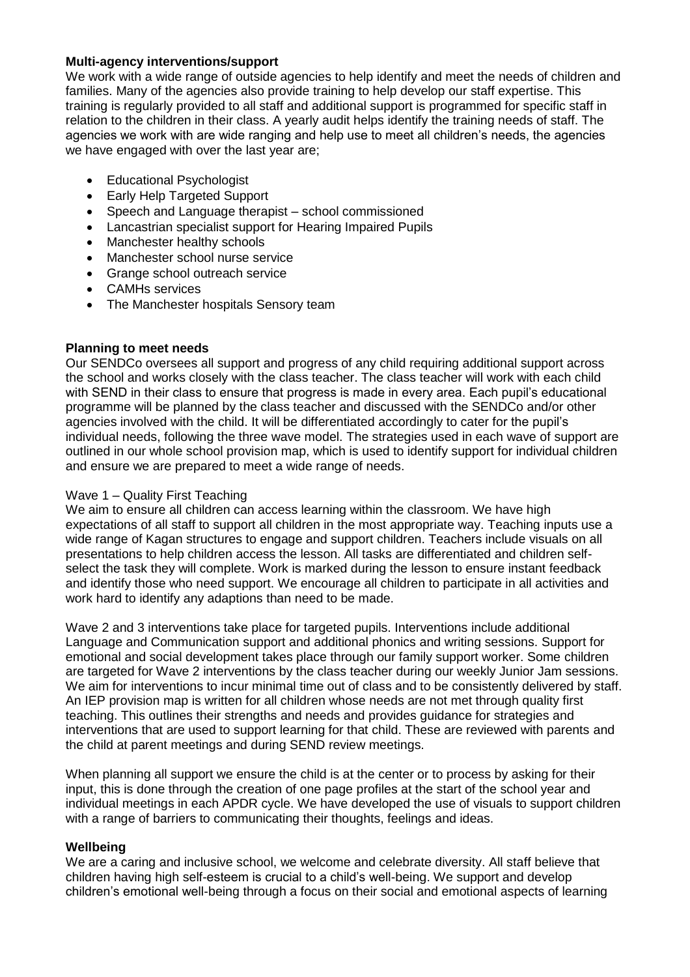### **Multi-agency interventions/support**

We work with a wide range of outside agencies to help identify and meet the needs of children and families. Many of the agencies also provide training to help develop our staff expertise. This training is regularly provided to all staff and additional support is programmed for specific staff in relation to the children in their class. A yearly audit helps identify the training needs of staff. The agencies we work with are wide ranging and help use to meet all children's needs, the agencies we have engaged with over the last year are;

- Educational Psychologist
- Early Help Targeted Support
- Speech and Language therapist school commissioned
- Lancastrian specialist support for Hearing Impaired Pupils
- Manchester healthy schools
- Manchester school nurse service
- Grange school outreach service
- CAMHs services
- The Manchester hospitals Sensory team

### **Planning to meet needs**

Our SENDCo oversees all support and progress of any child requiring additional support across the school and works closely with the class teacher. The class teacher will work with each child with SEND in their class to ensure that progress is made in every area. Each pupil's educational programme will be planned by the class teacher and discussed with the SENDCo and/or other agencies involved with the child. It will be differentiated accordingly to cater for the pupil's individual needs, following the three wave model. The strategies used in each wave of support are outlined in our whole school provision map, which is used to identify support for individual children and ensure we are prepared to meet a wide range of needs.

## Wave 1 – Quality First Teaching

We aim to ensure all children can access learning within the classroom. We have high expectations of all staff to support all children in the most appropriate way. Teaching inputs use a wide range of Kagan structures to engage and support children. Teachers include visuals on all presentations to help children access the lesson. All tasks are differentiated and children selfselect the task they will complete. Work is marked during the lesson to ensure instant feedback and identify those who need support. We encourage all children to participate in all activities and work hard to identify any adaptions than need to be made.

Wave 2 and 3 interventions take place for targeted pupils. Interventions include additional Language and Communication support and additional phonics and writing sessions. Support for emotional and social development takes place through our family support worker. Some children are targeted for Wave 2 interventions by the class teacher during our weekly Junior Jam sessions. We aim for interventions to incur minimal time out of class and to be consistently delivered by staff. An IEP provision map is written for all children whose needs are not met through quality first teaching. This outlines their strengths and needs and provides guidance for strategies and interventions that are used to support learning for that child. These are reviewed with parents and the child at parent meetings and during SEND review meetings.

When planning all support we ensure the child is at the center or to process by asking for their input, this is done through the creation of one page profiles at the start of the school year and individual meetings in each APDR cycle. We have developed the use of visuals to support children with a range of barriers to communicating their thoughts, feelings and ideas.

## **Wellbeing**

We are a caring and inclusive school, we welcome and celebrate diversity. All staff believe that children having high self-esteem is crucial to a child's well-being. We support and develop children's emotional well-being through a focus on their social and emotional aspects of learning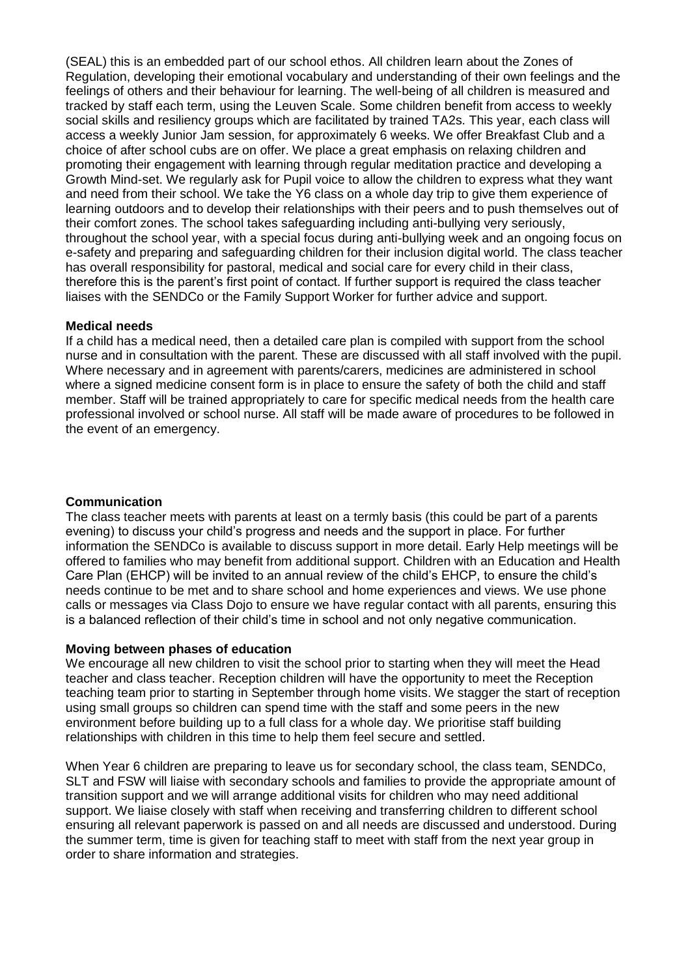(SEAL) this is an embedded part of our school ethos. All children learn about the Zones of Regulation, developing their emotional vocabulary and understanding of their own feelings and the feelings of others and their behaviour for learning. The well-being of all children is measured and tracked by staff each term, using the Leuven Scale. Some children benefit from access to weekly social skills and resiliency groups which are facilitated by trained TA2s. This year, each class will access a weekly Junior Jam session, for approximately 6 weeks. We offer Breakfast Club and a choice of after school cubs are on offer. We place a great emphasis on relaxing children and promoting their engagement with learning through regular meditation practice and developing a Growth Mind-set. We regularly ask for Pupil voice to allow the children to express what they want and need from their school. We take the Y6 class on a whole day trip to give them experience of learning outdoors and to develop their relationships with their peers and to push themselves out of their comfort zones. The school takes safeguarding including anti-bullying very seriously, throughout the school year, with a special focus during anti-bullying week and an ongoing focus on e-safety and preparing and safeguarding children for their inclusion digital world. The class teacher has overall responsibility for pastoral, medical and social care for every child in their class, therefore this is the parent's first point of contact. If further support is required the class teacher liaises with the SENDCo or the Family Support Worker for further advice and support.

#### **Medical needs**

If a child has a medical need, then a detailed care plan is compiled with support from the school nurse and in consultation with the parent. These are discussed with all staff involved with the pupil. Where necessary and in agreement with parents/carers, medicines are administered in school where a signed medicine consent form is in place to ensure the safety of both the child and staff member. Staff will be trained appropriately to care for specific medical needs from the health care professional involved or school nurse. All staff will be made aware of procedures to be followed in the event of an emergency.

#### **Communication**

The class teacher meets with parents at least on a termly basis (this could be part of a parents evening) to discuss your child's progress and needs and the support in place. For further information the SENDCo is available to discuss support in more detail. Early Help meetings will be offered to families who may benefit from additional support. Children with an Education and Health Care Plan (EHCP) will be invited to an annual review of the child's EHCP, to ensure the child's needs continue to be met and to share school and home experiences and views. We use phone calls or messages via Class Dojo to ensure we have regular contact with all parents, ensuring this is a balanced reflection of their child's time in school and not only negative communication.

#### **Moving between phases of education**

We encourage all new children to visit the school prior to starting when they will meet the Head teacher and class teacher. Reception children will have the opportunity to meet the Reception teaching team prior to starting in September through home visits. We stagger the start of reception using small groups so children can spend time with the staff and some peers in the new environment before building up to a full class for a whole day. We prioritise staff building relationships with children in this time to help them feel secure and settled.

When Year 6 children are preparing to leave us for secondary school, the class team, SENDCo, SLT and FSW will liaise with secondary schools and families to provide the appropriate amount of transition support and we will arrange additional visits for children who may need additional support. We liaise closely with staff when receiving and transferring children to different school ensuring all relevant paperwork is passed on and all needs are discussed and understood. During the summer term, time is given for teaching staff to meet with staff from the next year group in order to share information and strategies.